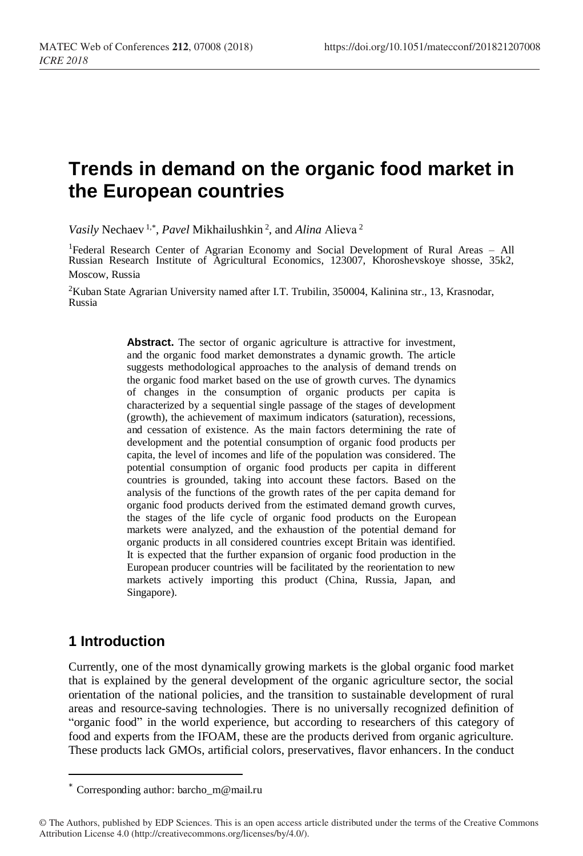# **Trends in demand on the organic food market in the European countries**

*Vasily* Nechaev<sup>1,\*</sup>, *Pavel* Mikhailushkin<sup>2</sup>, and *Alina* Alieva<sup>2</sup>

<sup>1</sup>Federal Research Center of Agrarian Economy and Social Development of Rural Areas – All Russian Research Institute of Agricultural Economics, 123007, Khoroshevskoye shosse, 35k2, Moscow, Russia

 ${}^{2}$ Kuban State Agrarian University named after I.T. Trubilin, 350004, Kalinina str., 13, Krasnodar, Russia

> Abstract. The sector of organic agriculture is attractive for investment, and the organic food market demonstrates a dynamic growth. The article suggests methodological approaches to the analysis of demand trends on the organic food market based on the use of growth curves. The dynamics of changes in the consumption of organic products per capita is characterized by a sequential single passage of the stages of development (growth), the achievement of maximum indicators (saturation), recessions, and cessation of existence. As the main factors determining the rate of development and the potential consumption of organic food products per capita, the level of incomes and life of the population was considered. The potential consumption of organic food products per capita in different countries is grounded, taking into account these factors. Based on the analysis of the functions of the growth rates of the per capita demand for organic food products derived from the estimated demand growth curves, the stages of the life cycle of organic food products on the European markets were analyzed, and the exhaustion of the potential demand for organic products in all considered countries except Britain was identified. It is expected that the further expansion of organic food production in the European producer countries will be facilitated by the reorientation to new markets actively importing this product (China, Russia, Japan, and Singapore).

# **1 Introduction**

Currently, one of the most dynamically growing markets is the global organic food market that is explained by the general development of the organic agriculture sector, the social orientation of the national policies, and the transition to sustainable development of rural areas and resource-saving technologies. There is no universally recognized definition of "organic food" in the world experience, but according to researchers of this category of food and experts from the IFOAM, these are the products derived from organic agriculture. These products lack GMOs, artificial colors, preservatives, flavor enhancers. In the conduct

<sup>\*</sup> Corresponding author: barcho  $m@$ mail.ru

<sup>©</sup> The Authors, published by EDP Sciences. This is an open access article distributed under the terms of the Creative Commons Attribution License 4.0 (http://creativecommons.org/licenses/by/4.0/).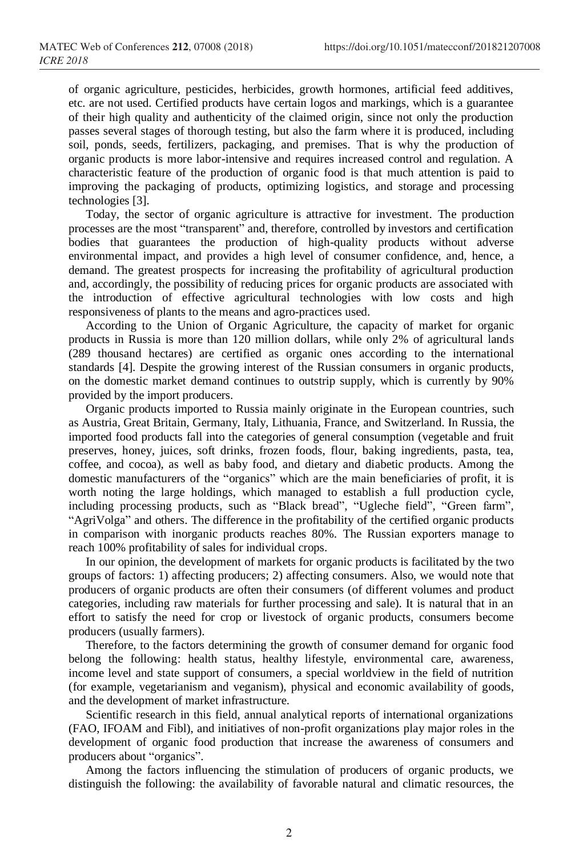of organic agriculture, pesticides, herbicides, growth hormones, artificial feed additives, etc. are not used. Certified products have certain logos and markings, which is a guarantee of their high quality and authenticity of the claimed origin, since not only the production passes several stages of thorough testing, but also the farm where it is produced, including soil, ponds, seeds, fertilizers, packaging, and premises. That is why the production of organic products is more labor-intensive and requires increased control and regulation. A characteristic feature of the production of organic food is that much attention is paid to improving the packaging of products, optimizing logistics, and storage and processing technologies [3].

Today, the sector of organic agriculture is attractive for investment. The production processes are the most "transparent" and, therefore, controlled by investors and certification bodies that guarantees the production of high-quality products without adverse environmental impact, and provides a high level of consumer confidence, and, hence, a demand. The greatest prospects for increasing the profitability of agricultural production and, accordingly, the possibility of reducing prices for organic products are associated with the introduction of effective agricultural technologies with low costs and high responsiveness of plants to the means and agro-practices used.

According to the Union of Organic Agriculture, the capacity of market for organic products in Russia is more than 120 million dollars, while only 2% of agricultural lands (289 thousand hectares) are certified as organic ones according to the international standards [4]. Despite the growing interest of the Russian consumers in organic products, on the domestic market demand continues to outstrip supply, which is currently by 90% provided by the import producers.

Organic products imported to Russia mainly originate in the European countries, such as Austria, Great Britain, Germany, Italy, Lithuania, France, and Switzerland. In Russia, the imported food products fall into the categories of general consumption (vegetable and fruit preserves, honey, juices, soft drinks, frozen foods, flour, baking ingredients, pasta, tea, coffee, and cocoa), as well as baby food, and dietary and diabetic products. Among the domestic manufacturers of the "organics" which are the main beneficiaries of profit, it is worth noting the large holdings, which managed to establish a full production cycle, including processing products, such as "Black bread", "Ugleche field", "Green farm", "AgriVolga" and others. The difference in the profitability of the certified organic products in comparison with inorganic products reaches 80%. The Russian exporters manage to reach 100% profitability of sales for individual crops.

In our opinion, the development of markets for organic products is facilitated by the two groups of factors: 1) affecting producers; 2) affecting consumers. Also, we would note that producers of organic products are often their consumers (of different volumes and product categories, including raw materials for further processing and sale). It is natural that in an effort to satisfy the need for crop or livestock of organic products, consumers become producers (usually farmers).

Therefore, to the factors determining the growth of consumer demand for organic food belong the following: health status, healthy lifestyle, environmental care, awareness, income level and state support of consumers, a special worldview in the field of nutrition (for example, vegetarianism and veganism), physical and economic availability of goods, and the development of market infrastructure.

Scientific research in this field, annual analytical reports of international organizations (FAO, IFOAM and Fibl), and initiatives of non-profit organizations play major roles in the development of organic food production that increase the awareness of consumers and producers about "organics".

Among the factors influencing the stimulation of producers of organic products, we distinguish the following: the availability of favorable natural and climatic resources, the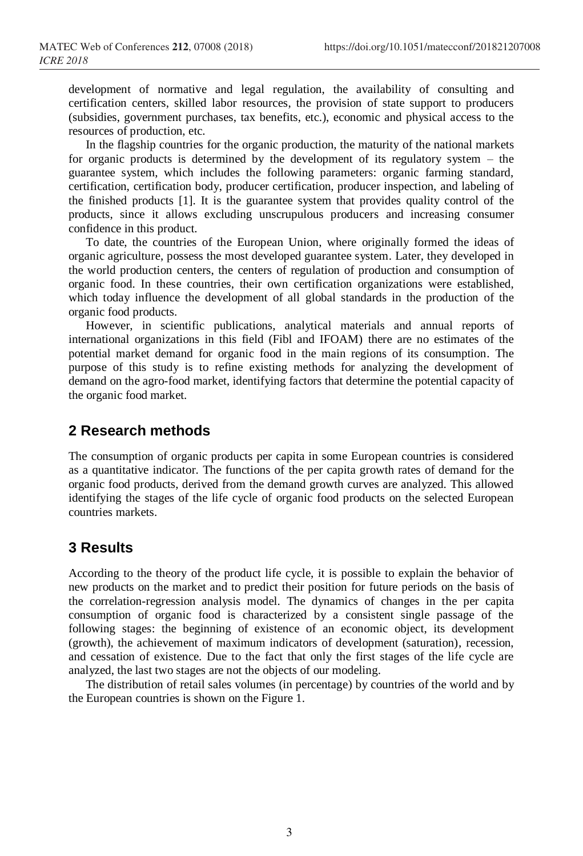development of normative and legal regulation, the availability of consulting and certification centers, skilled labor resources, the provision of state support to producers (subsidies, government purchases, tax benefits, etc.), economic and physical access to the resources of production, etc.

In the flagship countries for the organic production, the maturity of the national markets for organic products is determined by the development of its regulatory system – the guarantee system, which includes the following parameters: organic farming standard, certification, certification body, producer certification, producer inspection, and labeling of the finished products [1]. It is the guarantee system that provides quality control of the products, since it allows excluding unscrupulous producers and increasing consumer confidence in this product.

To date, the countries of the European Union, where originally formed the ideas of organic agriculture, possess the most developed guarantee system. Later, they developed in the world production centers, the centers of regulation of production and consumption of organic food. In these countries, their own certification organizations were established, which today influence the development of all global standards in the production of the organic food products.

However, in scientific publications, analytical materials and annual reports of international organizations in this field (Fibl and IFOAM) there are no estimates of the potential market demand for organic food in the main regions of its consumption. The purpose of this study is to refine existing methods for analyzing the development of demand on the agro-food market, identifying factors that determine the potential capacity of the organic food market.

## **2 Research methods**

The consumption of organic products per capita in some European countries is considered as a quantitative indicator. The functions of the per capita growth rates of demand for the organic food products, derived from the demand growth curves are analyzed. This allowed identifying the stages of the life cycle of organic food products on the selected European countries markets.

### **3 Results**

According to the theory of the product life cycle, it is possible to explain the behavior of new products on the market and to predict their position for future periods on the basis of the correlation-regression analysis model. The dynamics of changes in the per capita consumption of organic food is characterized by a consistent single passage of the following stages: the beginning of existence of an economic object, its development (growth), the achievement of maximum indicators of development (saturation), recession, and cessation of existence. Due to the fact that only the first stages of the life cycle are analyzed, the last two stages are not the objects of our modeling.

The distribution of retail sales volumes (in percentage) by countries of the world and by the European countries is shown on the Figure 1.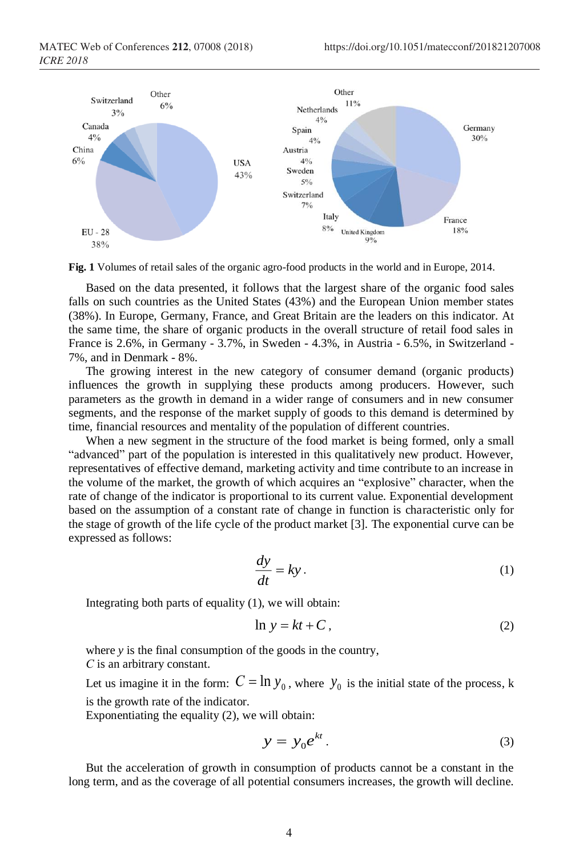

**Fig. 1** Volumes of retail sales of the organic agro-food products in the world and in Europe, 2014.

Based on the data presented, it follows that the largest share of the organic food sales falls on such countries as the United States (43%) and the European Union member states (38%). In Europe, Germany, France, and Great Britain are the leaders on this indicator. At the same time, the share of organic products in the overall structure of retail food sales in France is 2.6%, in Germany - 3.7%, in Sweden - 4.3%, in Austria - 6.5%, in Switzerland - 7%, and in Denmark - 8%.

The growing interest in the new category of consumer demand (organic products) influences the growth in supplying these products among producers. However, such parameters as the growth in demand in a wider range of consumers and in new consumer segments, and the response of the market supply of goods to this demand is determined by time, financial resources and mentality of the population of different countries.

When a new segment in the structure of the food market is being formed, only a small "advanced" part of the population is interested in this qualitatively new product. However, representatives of effective demand, marketing activity and time contribute to an increase in the volume of the market, the growth of which acquires an "explosive" character, when the rate of change of the indicator is proportional to its current value. Exponential development based on the assumption of a constant rate of change in function is characteristic only for the stage of growth of the life cycle of the product market [3]. The exponential curve can be expressed as follows:

$$
\frac{dy}{dt} = ky.
$$
 (1)

Integrating both parts of equality (1), we will obtain:

$$
\ln y = kt + C, \tag{2}
$$

where *y* is the final consumption of the goods in the country,

*С* is an arbitrary constant.

Let us imagine it in the form:  $C = \ln y_0$ , where  $y_0$  is the initial state of the process, k is the growth rate of the indicator.

Exponentiating the equality (2), we will obtain:

$$
y = y_0 e^{kt}.
$$
 (3)

But the acceleration of growth in consumption of products cannot be a constant in the long term, and as the coverage of all potential consumers increases, the growth will decline.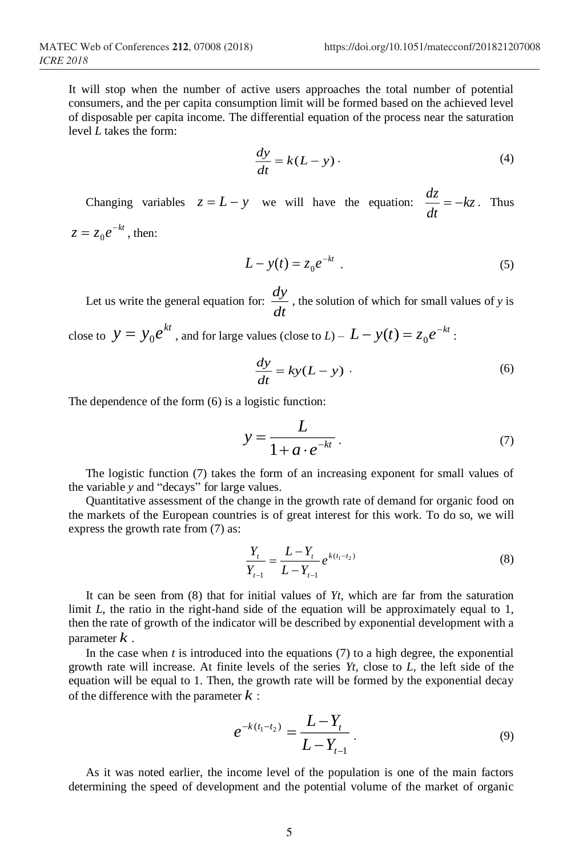It will stop when the number of active users approaches the total number of potential consumers, and the per capita consumption limit will be formed based on the achieved level of disposable per capita income. The differential equation of the process near the saturation level *L* takes the form:

$$
\frac{dy}{dt} = k(L - y) \,. \tag{4}
$$

Changing variables  $z = L - y$  we will have the equation:  $\frac{dx}{dt} = -kz$ . Thus *dt*  $\frac{dz}{z} = -kz$ . Thus  $z = z_0 e^{-kt}$ , then:

$$
L - y(t) = z_0 e^{-kt} \t . \t\t(5)
$$

Let us write the general equation for:  $\frac{dy}{dt}$ , the solution of w  $\frac{dy}{dx}$ , the solution of which for small values of *y* is

close to  $y = y_0 e^{kt}$ , and for large values (close to *L*) –  $L - y(t) = z_0 e^{-kt}$ :

$$
\frac{dy}{dt} = ky(L - y) \tag{6}
$$

The dependence of the form (6) is a logistic function:

$$
y = \frac{L}{1 + a \cdot e^{-kt}}.
$$
\n(7)

The logistic function (7) takes the form of an increasing exponent for small values of the variable *y* and "decays" for large values.

Quantitative assessment of the change in the growth rate of demand for organic food on the markets of the European countries is of great interest for this work. To do so, we will express the growth rate from (7) as:

$$
\frac{Y_t}{Y_{t-1}} = \frac{L - Y_t}{L - Y_{t-1}} e^{k(t_1 - t_2)}
$$
\n(8)

It can be seen from (8) that for initial values of *Yt*, which are far from the saturation limit *L*, the ratio in the right-hand side of the equation will be approximately equal to 1, then the rate of growth of the indicator will be described by exponential development with a parameter  $k$ .  $k$  .

In the case when *t* is introduced into the equations (7) to a high degree, the exponential growth rate will increase. At finite levels of the series *Yt*, close to *L*, the left side of the equation will be equal to 1. Then, the growth rate will be formed by the exponential decay of the difference with the parameter *k* :

$$
e^{-k(t_1 - t_2)} = \frac{L - Y_t}{L - Y_{t-1}}.
$$
\n(9)

As it was noted earlier, the income level of the population is one of the main factors determining the speed of development and the potential volume of the market of organic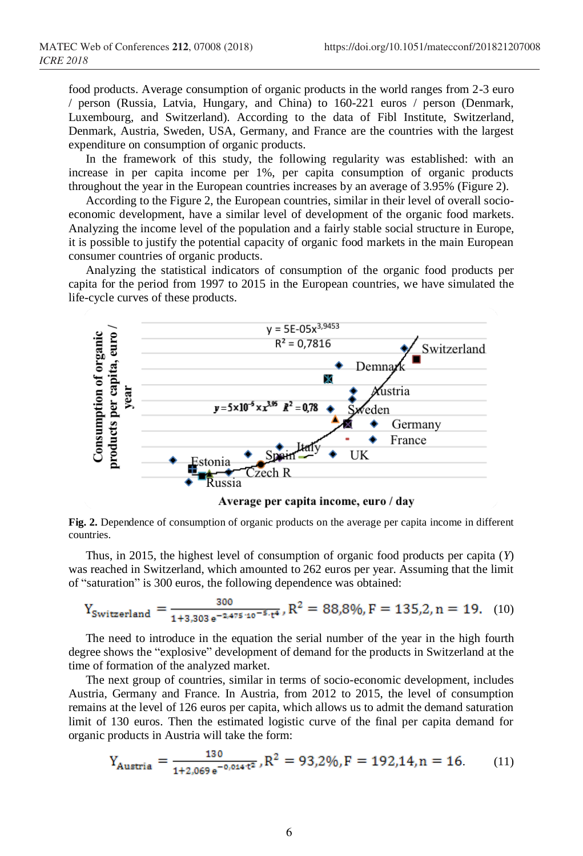food products. Average consumption of organic products in the world ranges from 2-3 euro / person (Russia, Latvia, Hungary, and China) to 160-221 euros / person (Denmark, Luxembourg, and Switzerland). According to the data of Fibl Institute, Switzerland, Denmark, Austria, Sweden, USA, Germany, and France are the countries with the largest expenditure on consumption of organic products.

In the framework of this study, the following regularity was established: with an increase in per capita income per 1%, per capita consumption of organic products throughout the year in the European countries increases by an average of 3.95% (Figure 2).

According to the Figure 2, the European countries, similar in their level of overall socioeconomic development, have a similar level of development of the organic food markets. Analyzing the income level of the population and a fairly stable social structure in Europe, it is possible to justify the potential capacity of organic food markets in the main European consumer countries of organic products.

Analyzing the statistical indicators of consumption of the organic food products per capita for the period from 1997 to 2015 in the European countries, we have simulated the life-cycle curves of these products.



**Fig. 2.** Dependence of consumption of organic products on the average per capita income in different countries.

Thus, in 2015, the highest level of consumption of organic food products per capita (*Y*) was reached in Switzerland, which amounted to 262 euros per year. Assuming that the limit of "saturation" is 300 euros, the following dependence was obtained:

$$
Y_{\text{Switzerland}} = \frac{300}{1 + 3,303 e^{-2,475 \cdot 10^{-5} \cdot \tau^4}}, R^2 = 88,8\%, F = 135,2, n = 19. \quad (10)
$$

The need to introduce in the equation the serial number of the year in the high fourth degree shows the "explosive" development of demand for the products in Switzerland at the time of formation of the analyzed market.

The next group of countries, similar in terms of socio-economic development, includes Austria, Germany and France. In Austria, from 2012 to 2015, the level of consumption remains at the level of 126 euros per capita, which allows us to admit the demand saturation limit of 130 euros. Then the estimated logistic curve of the final per capita demand for organic products in Austria will take the form:

$$
Y_{\text{Austria}} = \frac{130}{1 + 2,069 \,\mathrm{e}^{-0.014 \cdot t^2}}, R^2 = 93,2\%, F = 192,14, n = 16. \tag{11}
$$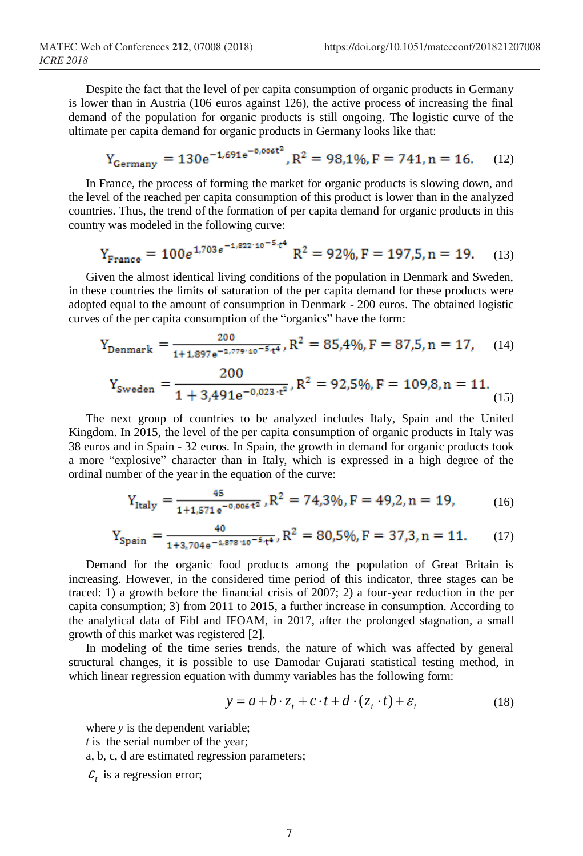Despite the fact that the level of per capita consumption of organic products in Germany is lower than in Austria (106 euros against 126), the active process of increasing the final demand of the population for organic products is still ongoing. The logistic curve of the ultimate per capita demand for organic products in Germany looks like that:

$$
Y_{\text{Germany}} = 130e^{-1.691e^{-0.006t^2}}, R^2 = 98.1\%, F = 741, n = 16. \quad (12)
$$

In France, the process of forming the market for organic products is slowing down, and the level of the reached per capita consumption of this product is lower than in the analyzed countries. Thus, the trend of the formation of per capita demand for organic products in this country was modeled in the following curve:

$$
Y_{\text{France}} = 100e^{1.703e^{-1.822 \cdot 10^{-5} \cdot t^4}} R^2 = 92\%, F = 197.5, n = 19. \quad (13)
$$

Given the almost identical living conditions of the population in Denmark and Sweden, in these countries the limits of saturation of the per capita demand for these products were adopted equal to the amount of consumption in Denmark - 200 euros. The obtained logistic curves of the per capita consumption of the "organics" have the form:

$$
Y_{\text{Denmark}} = \frac{200}{1 + 1,897 e^{-2,779 \cdot 10^{-5} t^4}}, R^2 = 85,4\%, F = 87,5, n = 17, \quad (14)
$$

$$
Y_{\text{Sweden}} = \frac{200}{1 + 3,491e^{-0,023 \cdot t^2}}, R^2 = 92,5\%, F = 109,8, n = 11.
$$
\n(15)

The next group of countries to be analyzed includes Italy, Spain and the United Kingdom. In 2015, the level of the per capita consumption of organic products in Italy was 38 euros and in Spain - 32 euros. In Spain, the growth in demand for organic products took a more "explosive" character than in Italy, which is expressed in a high degree of the ordinal number of the year in the equation of the curve:

$$
Y_{\text{Italy}} = \frac{45}{1 + 1.571 \,\mathrm{e}^{-0.006 \,\mathrm{t}^2}} \,, R^2 = 74.3\%, F = 49.2, n = 19,\tag{16}
$$

$$
Y_{\text{Spin}} = \frac{40}{1+3,704e^{-1,878 \cdot 10^{-5} \cdot \tau^4}}, R^2 = 80,5\%, F = 37,3, n = 11. \tag{17}
$$

Demand for the organic food products among the population of Great Britain is increasing. However, in the considered time period of this indicator, three stages can be traced: 1) a growth before the financial crisis of 2007; 2) a four-year reduction in the per capita consumption; 3) from 2011 to 2015, a further increase in consumption. According to the analytical data of Fibl and IFOAM, in 2017, after the prolonged stagnation, a small growth of this market was registered [2].

In modeling of the time series trends, the nature of which was affected by general structural changes, it is possible to use Damodar Gujarati statistical testing method, in which linear regression equation with dummy variables has the following form:

$$
y = a + b \cdot z_t + c \cdot t + d \cdot (z_t \cdot t) + \varepsilon_t \tag{18}
$$

where *y* is the dependent variable;

*t* is the serial number of the year;

a, b, c, d are estimated regression parameters;

 $\mathcal{E}_t$  is a regression error;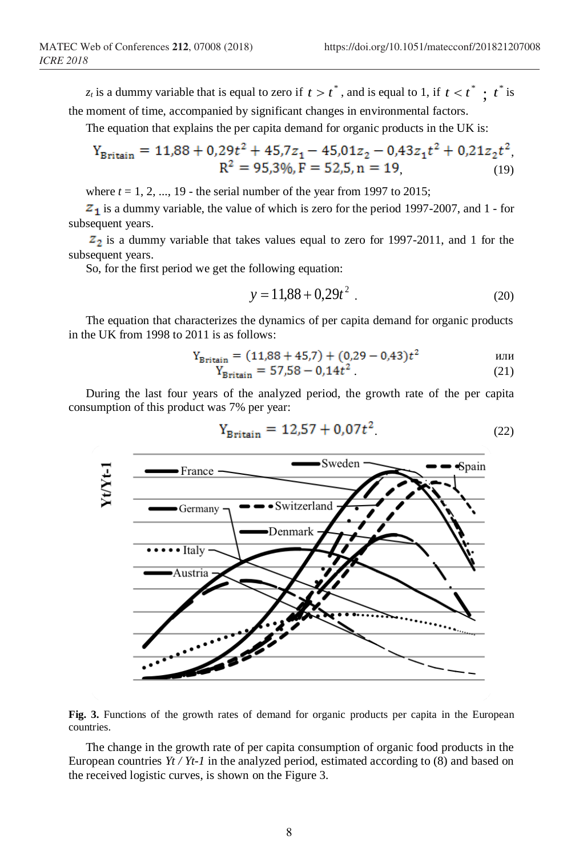$z_t$  is a dummy variable that is equal to zero if  $t > t^*$ , and is equal to 1, if  $t < t^*$ ;  $t^*$  is the moment of time, accompanied by significant changes in environmental factors.

The equation that explains the per capita demand for organic products in the UK is:

$$
Y_{\text{Britain}} = 11,88 + 0,29t^2 + 45,7z_1 - 45,01z_2 - 0,43z_1t^2 + 0,21z_2t^2,
$$
  

$$
R^2 = 95,3\%, F = 52,5, n = 19,
$$
 (19)

where  $t = 1, 2, ..., 19$  - the serial number of the year from 1997 to 2015;

 $\mathbb{Z}_1$  is a dummy variable, the value of which is zero for the period 1997-2007, and 1 - for subsequent years.

 $z_2$  is a dummy variable that takes values equal to zero for 1997-2011, and 1 for the subsequent years.

So, for the first period we get the following equation:

$$
y = 11,88 + 0,29t^2
$$
 (20)

The equation that characterizes the dynamics of per capita demand for organic products in the UK from 1998 to 2011 is as follows:

$$
Y_{\text{Britain}} = (11,88 + 45,7) + (0,29 - 0,43)t^2
$$
  
W = 5758 - 0,14t<sup>2</sup> (21)

$$
Y_{\text{Britain}} = 57,58 - 0,14t^2 \tag{21}
$$

During the last four years of the analyzed period, the growth rate of the per capita consumption of this product was 7% per year:

$$
Y_{\text{British}} = 12.57 + 0.07t^2 \tag{22}
$$



**Fig. 3.** Functions of the growth rates of demand for organic products per capita in the European countries.

The change in the growth rate of per capita consumption of organic food products in the European countries *Yt / Yt-1* in the analyzed period, estimated according to (8) and based on the received logistic curves, is shown on the Figure 3.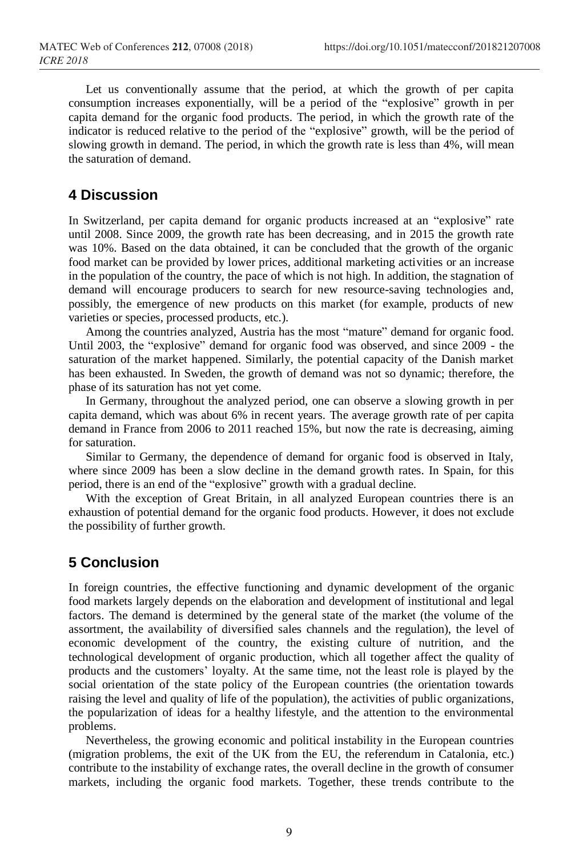Let us conventionally assume that the period, at which the growth of per capita consumption increases exponentially, will be a period of the "explosive" growth in per capita demand for the organic food products. The period, in which the growth rate of the indicator is reduced relative to the period of the "explosive" growth, will be the period of slowing growth in demand. The period, in which the growth rate is less than 4%, will mean the saturation of demand.

#### **4 Discussion**

In Switzerland, per capita demand for organic products increased at an "explosive" rate until 2008. Since 2009, the growth rate has been decreasing, and in 2015 the growth rate was 10%. Based on the data obtained, it can be concluded that the growth of the organic food market can be provided by lower prices, additional marketing activities or an increase in the population of the country, the pace of which is not high. In addition, the stagnation of demand will encourage producers to search for new resource-saving technologies and, possibly, the emergence of new products on this market (for example, products of new varieties or species, processed products, etc.).

Among the countries analyzed, Austria has the most "mature" demand for organic food. Until 2003, the "explosive" demand for organic food was observed, and since 2009 - the saturation of the market happened. Similarly, the potential capacity of the Danish market has been exhausted. In Sweden, the growth of demand was not so dynamic; therefore, the phase of its saturation has not yet come.

In Germany, throughout the analyzed period, one can observe a slowing growth in per capita demand, which was about 6% in recent years. The average growth rate of per capita demand in France from 2006 to 2011 reached 15%, but now the rate is decreasing, aiming for saturation.

Similar to Germany, the dependence of demand for organic food is observed in Italy, where since 2009 has been a slow decline in the demand growth rates. In Spain, for this period, there is an end of the "explosive" growth with a gradual decline.

With the exception of Great Britain, in all analyzed European countries there is an exhaustion of potential demand for the organic food products. However, it does not exclude the possibility of further growth.

### **5 Conclusion**

In foreign countries, the effective functioning and dynamic development of the organic food markets largely depends on the elaboration and development of institutional and legal factors. The demand is determined by the general state of the market (the volume of the assortment, the availability of diversified sales channels and the regulation), the level of economic development of the country, the existing culture of nutrition, and the technological development of organic production, which all together affect the quality of products and the customers' loyalty. At the same time, not the least role is played by the social orientation of the state policy of the European countries (the orientation towards raising the level and quality of life of the population), the activities of public organizations, the popularization of ideas for a healthy lifestyle, and the attention to the environmental problems.

Nevertheless, the growing economic and political instability in the European countries (migration problems, the exit of the UK from the EU, the referendum in Catalonia, etc.) contribute to the instability of exchange rates, the overall decline in the growth of consumer markets, including the organic food markets. Together, these trends contribute to the